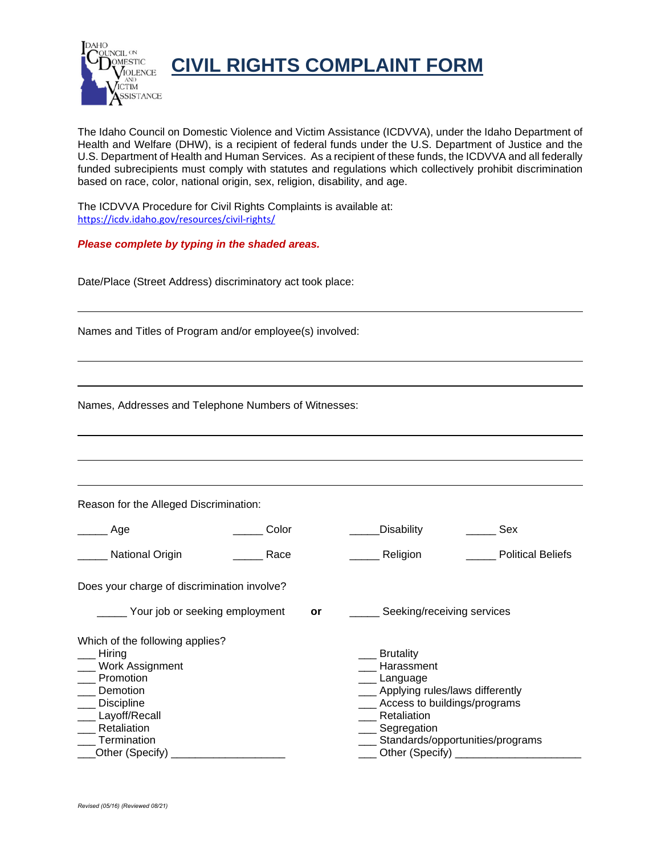

**CIVIL RIGHTS COMPLAINT FORM** 

The Idaho Council on Domestic Violence and Victim Assistance (ICDVVA), under the Idaho Department of Health and Welfare (DHW), is a recipient of federal funds under the U.S. Department of Justice and the U.S. Department of Health and Human Services. As a recipient of these funds, the ICDVVA and all federally funded subrecipients must comply with statutes and regulations which collectively prohibit discrimination based on race, color, national origin, sex, religion, disability, and age.

The ICDVVA Procedure for Civil Rights Complaints is available at: <https://icdv.idaho.gov/resources/civil-rights/>

### *Please complete by typing in the shaded areas.*

Date/Place (Street Address) discriminatory act took place:

Names and Titles of Program and/or employee(s) involved:

Names, Addresses and Telephone Numbers of Witnesses:

Reason for the Alleged Discrimination:

| Age                                                                                                                                                                                 | Color |    | Disability                                                                                                                                                     | Sex                              |
|-------------------------------------------------------------------------------------------------------------------------------------------------------------------------------------|-------|----|----------------------------------------------------------------------------------------------------------------------------------------------------------------|----------------------------------|
| <b>National Origin</b>                                                                                                                                                              | Race  |    | Religion                                                                                                                                                       | <b>Political Beliefs</b>         |
| Does your charge of discrimination involve?                                                                                                                                         |       |    |                                                                                                                                                                |                                  |
| Your job or seeking employment                                                                                                                                                      |       | or | Seeking/receiving services                                                                                                                                     |                                  |
| Which of the following applies?<br>Hiring<br><b>Work Assignment</b><br>Promotion<br>Demotion<br><b>Discipline</b><br>Layoff/Recall<br>Retaliation<br>Termination<br>Other (Specify) |       |    | <b>Brutality</b><br>Harassment<br>Language<br>Applying rules/laws differently<br>Access to buildings/programs<br>Retaliation<br>Segregation<br>Other (Specify) | Standards/opportunities/programs |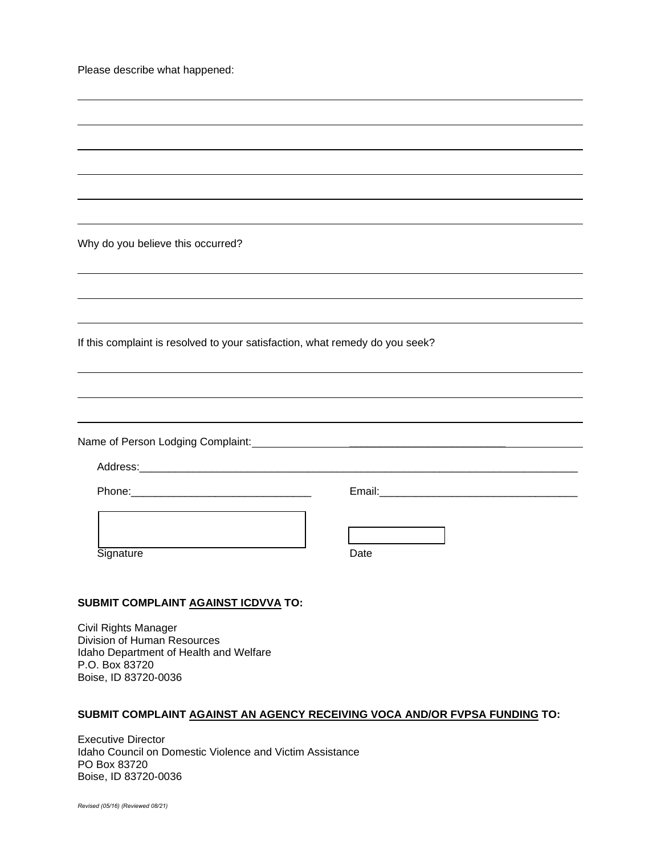Please describe what happened:

Why do you believe this occurred?

If this complaint is resolved to your satisfaction, what remedy do you seek?

Name of Person Lodging Complaint: \_\_\_\_\_\_\_\_\_\_\_\_\_\_\_\_\_\_\_\_\_\_\_\_\_\_

Address:

Phone:\_\_\_\_\_\_\_\_\_\_\_\_\_\_\_\_\_\_\_\_\_\_\_\_\_\_\_\_\_\_ Email:\_\_\_\_\_\_\_\_\_\_\_\_\_\_\_\_\_\_\_\_\_\_\_\_\_\_\_\_\_\_\_\_\_

Signature

 $\overline{\phantom{a}}$ 

| Date |  |
|------|--|

┑

# **SUBMIT COMPLAINT AGAINST ICDVVA TO:**

Civil Rights Manager Division of Human Resources Idaho Department of Health and Welfare P.O. Box 83720 Boise, ID 83720-0036

### **SUBMIT COMPLAINT AGAINST AN AGENCY RECEIVING VOCA AND/OR FVPSA FUNDING TO:**

Executive Director Idaho Council on Domestic Violence and Victim Assistance PO Box 83720 Boise, ID 83720-0036